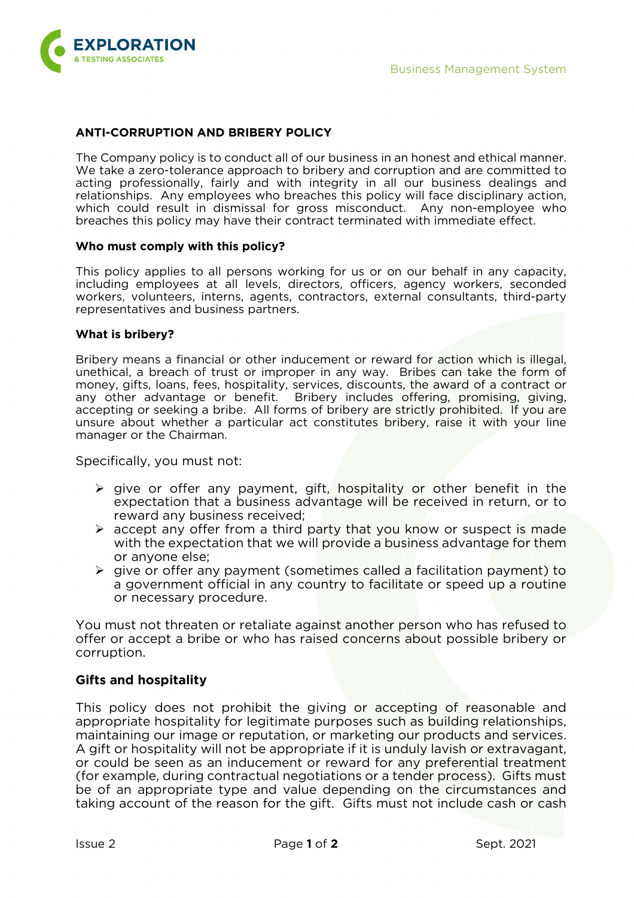

# **ANTI-CORRUPTION AND BRIBERY POLICY**

The Company policy is to conduct all of our business in an honest and ethical manner. We take a zero-tolerance approach to bribery and corruption and are committed to acting professionally, fairly and with integrity in all our business dealings and relationships. Any employees who breaches this policy will face disciplinary action, which could result in dismissal for gross misconduct. Any non-employee who breaches this policy may have their contract terminated with immediate effect.

### **Who must comply with this policy?**

This policy applies to all persons working for us or on our behalf in any capacity, including employees at all levels, directors, officers, agency workers, seconded workers, volunteers, interns, agents, contractors, external consultants, third-party representatives and business partners.

### **What is bribery?**

Bribery means a financial or other inducement or reward for action which is illegal, unethical, a breach of trust or improper in any way. Bribes can take the form of money, gifts, loans, fees, hospitality, services, discounts, the award of a contract or any other advantage or benefit. Bribery includes offering, promising, giving, accepting or seeking a bribe. All forms of bribery are strictly prohibited. If you are unsure about whether a particular act constitutes bribery, raise it with your line manager or the Chairman.

Specifically, you must not:

- $\triangleright$  give or offer any payment, gift, hospitality or other benefit in the expectation that a business advantage will be received in return, or to reward any business received;
- $\triangleright$  accept any offer from a third party that you know or suspect is made with the expectation that we will provide a business advantage for them or anyone else;
- $\triangleright$  give or offer any payment (sometimes called a facilitation payment) to a government official in any country to facilitate or speed up a routine or necessary procedure.

You must not threaten or retaliate against another person who has refused to offer or accept a bribe or who has raised concerns about possible bribery or corruption.

# **Gifts and hospitality**

This policy does not prohibit the giving or accepting of reasonable and appropriate hospitality for legitimate purposes such as building relationships, maintaining our image or reputation, or marketing our products and services. A gift or hospitality will not be appropriate if it is unduly lavish or extravagant, or could be seen as an inducement or reward for any preferential treatment (for example, during contractual negotiations or a tender process). Gifts must be of an appropriate type and value depending on the circumstances and taking account of the reason for the gift. Gifts must not include cash or cash